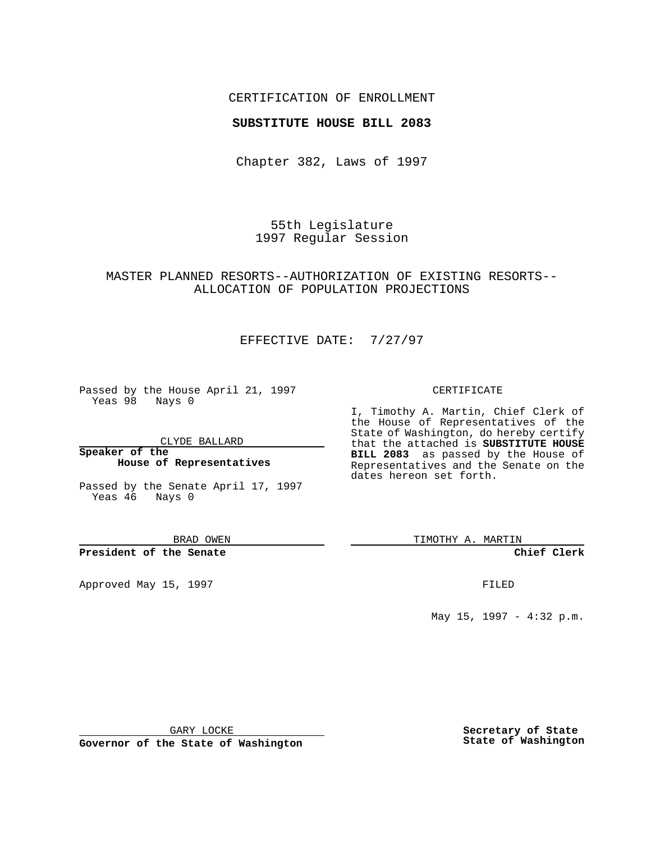## CERTIFICATION OF ENROLLMENT

## **SUBSTITUTE HOUSE BILL 2083**

Chapter 382, Laws of 1997

55th Legislature 1997 Regular Session

# MASTER PLANNED RESORTS--AUTHORIZATION OF EXISTING RESORTS-- ALLOCATION OF POPULATION PROJECTIONS

# EFFECTIVE DATE: 7/27/97

Passed by the House April 21, 1997 Yeas 98 Nays 0

CLYDE BALLARD

**Speaker of the House of Representatives**

Passed by the Senate April 17, 1997 Yeas 46 Nays 0

BRAD OWEN

### **President of the Senate**

Approved May 15, 1997 **FILED** 

#### CERTIFICATE

I, Timothy A. Martin, Chief Clerk of the House of Representatives of the State of Washington, do hereby certify that the attached is **SUBSTITUTE HOUSE BILL 2083** as passed by the House of Representatives and the Senate on the dates hereon set forth.

TIMOTHY A. MARTIN

**Chief Clerk**

May 15, 1997 - 4:32 p.m.

GARY LOCKE

**Governor of the State of Washington**

**Secretary of State State of Washington**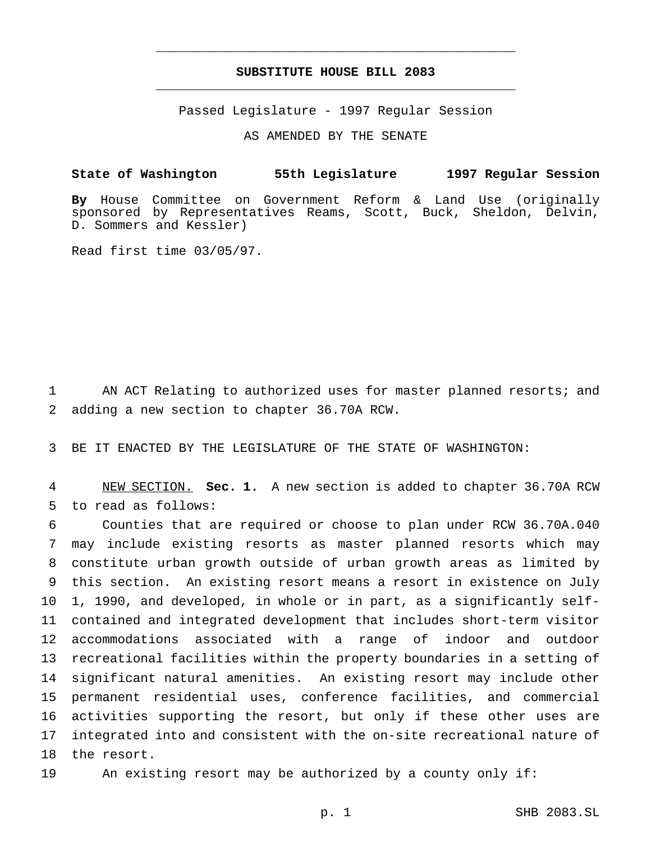# **SUBSTITUTE HOUSE BILL 2083** \_\_\_\_\_\_\_\_\_\_\_\_\_\_\_\_\_\_\_\_\_\_\_\_\_\_\_\_\_\_\_\_\_\_\_\_\_\_\_\_\_\_\_\_\_\_\_

\_\_\_\_\_\_\_\_\_\_\_\_\_\_\_\_\_\_\_\_\_\_\_\_\_\_\_\_\_\_\_\_\_\_\_\_\_\_\_\_\_\_\_\_\_\_\_

Passed Legislature - 1997 Regular Session

AS AMENDED BY THE SENATE

**State of Washington 55th Legislature 1997 Regular Session**

**By** House Committee on Government Reform & Land Use (originally sponsored by Representatives Reams, Scott, Buck, Sheldon, Delvin, D. Sommers and Kessler)

Read first time 03/05/97.

 AN ACT Relating to authorized uses for master planned resorts; and adding a new section to chapter 36.70A RCW.

BE IT ENACTED BY THE LEGISLATURE OF THE STATE OF WASHINGTON:

 NEW SECTION. **Sec. 1.** A new section is added to chapter 36.70A RCW to read as follows:

 Counties that are required or choose to plan under RCW 36.70A.040 may include existing resorts as master planned resorts which may constitute urban growth outside of urban growth areas as limited by this section. An existing resort means a resort in existence on July 1, 1990, and developed, in whole or in part, as a significantly self- contained and integrated development that includes short-term visitor accommodations associated with a range of indoor and outdoor recreational facilities within the property boundaries in a setting of significant natural amenities. An existing resort may include other permanent residential uses, conference facilities, and commercial activities supporting the resort, but only if these other uses are integrated into and consistent with the on-site recreational nature of the resort.

An existing resort may be authorized by a county only if: